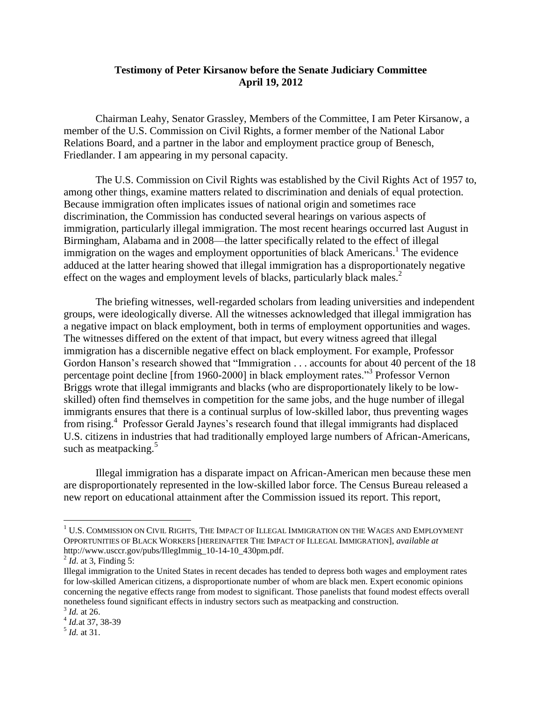## **Testimony of Peter Kirsanow before the Senate Judiciary Committee April 19, 2012**

Chairman Leahy, Senator Grassley, Members of the Committee, I am Peter Kirsanow, a member of the U.S. Commission on Civil Rights, a former member of the National Labor Relations Board, and a partner in the labor and employment practice group of Benesch, Friedlander. I am appearing in my personal capacity.

The U.S. Commission on Civil Rights was established by the Civil Rights Act of 1957 to, among other things, examine matters related to discrimination and denials of equal protection. Because immigration often implicates issues of national origin and sometimes race discrimination, the Commission has conducted several hearings on various aspects of immigration, particularly illegal immigration. The most recent hearings occurred last August in Birmingham, Alabama and in 2008—the latter specifically related to the effect of illegal immigration on the wages and employment opportunities of black Americans.<sup>1</sup> The evidence adduced at the latter hearing showed that illegal immigration has a disproportionately negative effect on the wages and employment levels of blacks, particularly black males.<sup>2</sup>

The briefing witnesses, well-regarded scholars from leading universities and independent groups, were ideologically diverse. All the witnesses acknowledged that illegal immigration has a negative impact on black employment, both in terms of employment opportunities and wages. The witnesses differed on the extent of that impact, but every witness agreed that illegal immigration has a discernible negative effect on black employment. For example, Professor Gordon Hanson's research showed that "Immigration . . . accounts for about 40 percent of the 18 percentage point decline [from 1960-2000] in black employment rates."<sup>3</sup> Professor Vernon Briggs wrote that illegal immigrants and blacks (who are disproportionately likely to be lowskilled) often find themselves in competition for the same jobs, and the huge number of illegal immigrants ensures that there is a continual surplus of low-skilled labor, thus preventing wages from rising.<sup>4</sup> Professor Gerald Jaynes's research found that illegal immigrants had displaced U.S. citizens in industries that had traditionally employed large numbers of African-Americans, such as meatpacking. $5$ 

Illegal immigration has a disparate impact on African-American men because these men are disproportionately represented in the low-skilled labor force. The Census Bureau released a new report on educational attainment after the Commission issued its report. This report,

 $\overline{\phantom{a}}$ 

 $^1$  U.S. COMMISSION ON CIVIL RIGHTS, THE IMPACT OF ILLEGAL IMMIGRATION ON THE WAGES AND EMPLOYMENT OPPORTUNITIES OF BLACK WORKERS [HEREINAFTER THE IMPACT OF ILLEGAL IMMIGRATION], *available at* http://www.usccr.gov/pubs/IllegImmig\_10-14-10\_430pm.pdf.

 $^{2}$  *Id.* at 3, Finding 5:

Illegal immigration to the United States in recent decades has tended to depress both wages and employment rates for low-skilled American citizens, a disproportionate number of whom are black men. Expert economic opinions concerning the negative effects range from modest to significant. Those panelists that found modest effects overall nonetheless found significant effects in industry sectors such as meatpacking and construction.

<sup>3</sup> *Id.* at 26.

<sup>4</sup> *Id.*at 37, 38-39

<sup>5</sup> *Id.* at 31.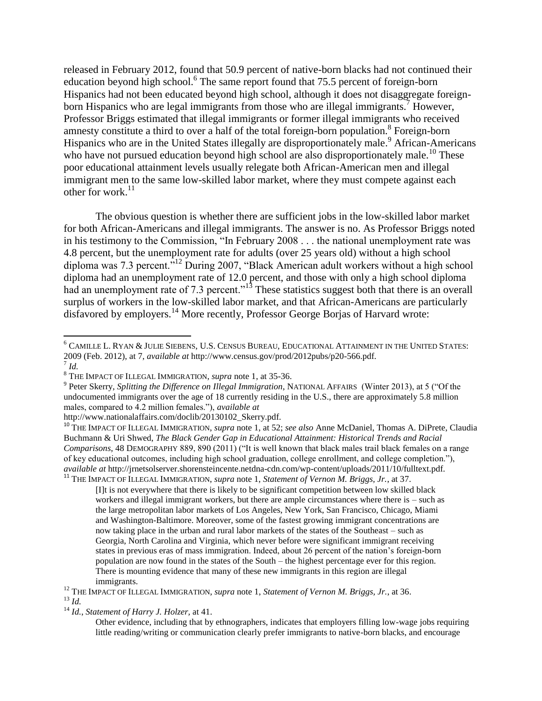released in February 2012, found that 50.9 percent of native-born blacks had not continued their education beyond high school.<sup>6</sup> The same report found that 75.5 percent of foreign-born Hispanics had not been educated beyond high school, although it does not disaggregate foreignborn Hispanics who are legal immigrants from those who are illegal immigrants.<sup>7</sup> However, Professor Briggs estimated that illegal immigrants or former illegal immigrants who received amnesty constitute a third to over a half of the total foreign-born population.<sup>8</sup> Foreign-born Hispanics who are in the United States illegally are disproportionately male.<sup>9</sup> African-Americans who have not pursued education beyond high school are also disproportionately male.<sup>10</sup> These poor educational attainment levels usually relegate both African-American men and illegal immigrant men to the same low-skilled labor market, where they must compete against each other for work $^{11}$ 

The obvious question is whether there are sufficient jobs in the low-skilled labor market for both African-Americans and illegal immigrants. The answer is no. As Professor Briggs noted in his testimony to the Commission, "In February 2008 . . . the national unemployment rate was 4.8 percent, but the unemployment rate for adults (over 25 years old) without a high school diploma was 7.3 percent."<sup>12</sup> During 2007, "Black American adult workers without a high school diploma had an unemployment rate of 12.0 percent, and those with only a high school diploma had an unemployment rate of 7.3 percent."<sup>13</sup> These statistics suggest both that there is an overall surplus of workers in the low-skilled labor market, and that African-Americans are particularly disfavored by employers.<sup>14</sup> More recently, Professor George Borjas of Harvard wrote:

 $\overline{a}$ 

<sup>6</sup> CAMILLE L. RYAN & JULIE SIEBENS, U.S. CENSUS BUREAU, EDUCATIONAL ATTAINMENT IN THE UNITED STATES: 2009 (Feb. 2012), at 7, *available at* http://www.census.gov/prod/2012pubs/p20-566.pdf. 7 *Id.*

<sup>8</sup> THE IMPACT OF ILLEGAL IMMIGRATION, *supra* note 1, at 35-36.

<sup>9</sup> Peter Skerry, *Splitting the Difference on Illegal Immigration*, NATIONAL AFFAIRS (Winter 2013), at 5 ("Of the undocumented immigrants over the age of 18 currently residing in the U.S., there are approximately 5.8 million males, compared to 4.2 million females."), *available at*

http://www.nationalaffairs.com/doclib/20130102\_Skerry.pdf.

<sup>&</sup>lt;sup>10</sup> THE IMPACT OF ILLEGAL IMMIGRATION, *supra* note 1, at 52; *see also* Anne McDaniel, Thomas A. DiPrete, Claudia Buchmann & Uri Shwed, *The Black Gender Gap in Educational Attainment: Historical Trends and Racial Comparisons*, 48 DEMOGRAPHY 889, 890 (2011) ("It is well known that black males trail black females on a range of key educational outcomes, including high school graduation, college enrollment, and college completion."), *available at* http://jrnetsolserver.shorensteincente.netdna-cdn.com/wp-content/uploads/2011/10/fulltext.pdf. <sup>11</sup> THE IMPACT OF ILLEGAL IMMIGRATION, *supra* note 1, *Statement of Vernon M. Briggs, Jr.*, at 37.

<sup>[</sup>I]t is not everywhere that there is likely to be significant competition between low skilled black workers and illegal immigrant workers, but there are ample circumstances where there is – such as the large metropolitan labor markets of Los Angeles, New York, San Francisco, Chicago, Miami and Washington-Baltimore. Moreover, some of the fastest growing immigrant concentrations are now taking place in the urban and rural labor markets of the states of the Southeast – such as Georgia, North Carolina and Virginia, which never before were significant immigrant receiving states in previous eras of mass immigration. Indeed, about 26 percent of the nation's foreign-born population are now found in the states of the South – the highest percentage ever for this region. There is mounting evidence that many of these new immigrants in this region are illegal immigrants.

<sup>12</sup> THE IMPACT OF ILLEGAL IMMIGRATION, *supra* note 1, *Statement of Vernon M. Briggs, Jr.*, at 36. <sup>13</sup> *Id.*

<sup>14</sup> *Id.*, *Statement of Harry J. Holzer,* at 41.

Other evidence, including that by ethnographers, indicates that employers filling low-wage jobs requiring little reading/writing or communication clearly prefer immigrants to native-born blacks, and encourage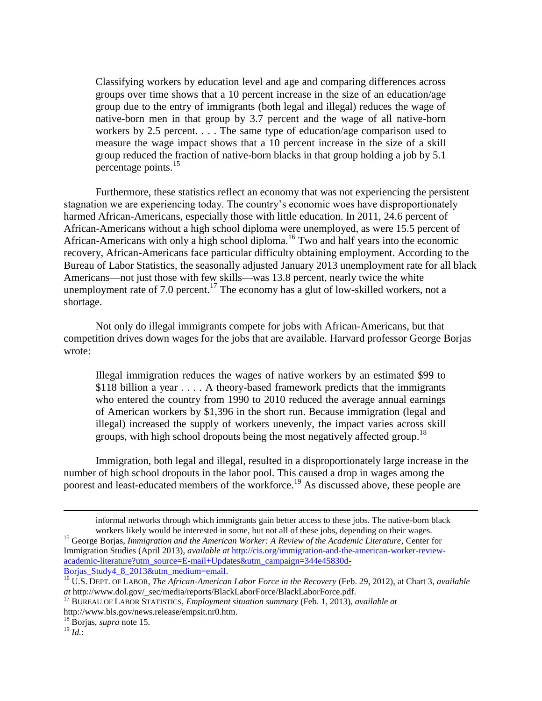Classifying workers by education level and age and comparing differences across groups over time shows that a 10 percent increase in the size of an education/age group due to the entry of immigrants (both legal and illegal) reduces the wage of native-born men in that group by 3.7 percent and the wage of all native-born workers by 2.5 percent. . . . The same type of education/age comparison used to measure the wage impact shows that a 10 percent increase in the size of a skill group reduced the fraction of native-born blacks in that group holding a job by 5.1 percentage points.<sup>15</sup>

Furthermore, these statistics reflect an economy that was not experiencing the persistent stagnation we are experiencing today. The country's economic woes have disproportionately harmed African-Americans, especially those with little education. In 2011, 24.6 percent of African-Americans without a high school diploma were unemployed, as were 15.5 percent of African-Americans with only a high school diploma.<sup>16</sup> Two and half years into the economic recovery, African-Americans face particular difficulty obtaining employment. According to the Bureau of Labor Statistics, the seasonally adjusted January 2013 unemployment rate for all black Americans—not just those with few skills—was 13.8 percent, nearly twice the white unemployment rate of 7.0 percent.<sup>17</sup> The economy has a glut of low-skilled workers, not a shortage.

Not only do illegal immigrants compete for jobs with African-Americans, but that competition drives down wages for the jobs that are available. Harvard professor George Borjas wrote:

Illegal immigration reduces the wages of native workers by an estimated \$99 to \$118 billion a year . . . . A theory-based framework predicts that the immigrants who entered the country from 1990 to 2010 reduced the average annual earnings of American workers by \$1,396 in the short run. Because immigration (legal and illegal) increased the supply of workers unevenly, the impact varies across skill groups, with high school dropouts being the most negatively affected group.<sup>18</sup>

Immigration, both legal and illegal, resulted in a disproportionately large increase in the number of high school dropouts in the labor pool. This caused a drop in wages among the poorest and least-educated members of the workforce.<sup>19</sup> As discussed above, these people are

 $\overline{a}$ 

informal networks through which immigrants gain better access to these jobs. The native-born black workers likely would be interested in some, but not all of these jobs, depending on their wages.

<sup>&</sup>lt;sup>15</sup> George Borjas, *Immigration and the American Worker: A Review of the Academic Literature*, Center for Immigration Studies (April 2013), *available at* [http://cis.org/immigration-and-the-american-worker-review](http://cis.org/immigration-and-the-american-worker-review-academic-literature?utm_source=E-mail+Updates&utm_campaign=344e45830d-Borjas_Study4_8_2013&utm_medium=email)[academic-literature?utm\\_source=E-mail+Updates&utm\\_campaign=344e45830d-](http://cis.org/immigration-and-the-american-worker-review-academic-literature?utm_source=E-mail+Updates&utm_campaign=344e45830d-Borjas_Study4_8_2013&utm_medium=email)

Borjas Study4 8 2013&utm\_medium=email.

<sup>16</sup> U.S. DEPT. OF LABOR, *The African-American Labor Force in the Recovery* (Feb. 29, 2012), at Chart 3, *available at* http://www.dol.gov/\_sec/media/reports/BlackLaborForce/BlackLaborForce.pdf.

<sup>17</sup> BUREAU OF LABOR STATISTICS, *Employment situation summary* (Feb. 1, 2013), *available at* http://www.bls.gov/news.release/empsit.nr0.htm.

<sup>18</sup> Borjas, *supra* note 15.

<sup>19</sup> *Id.*: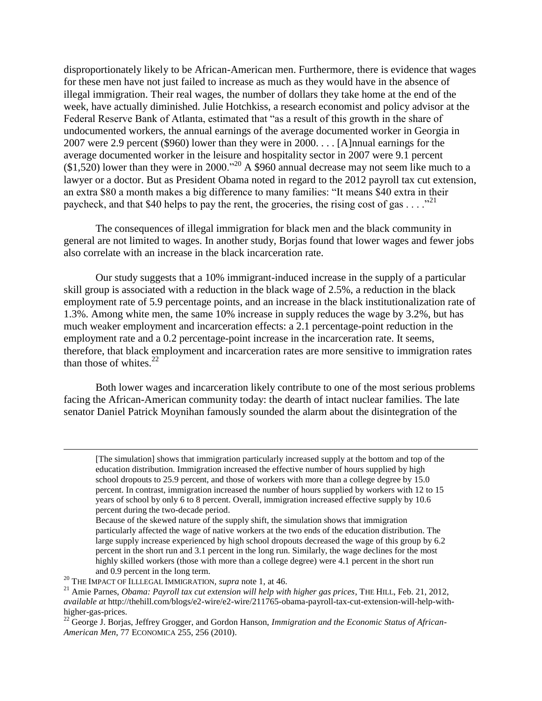disproportionately likely to be African-American men. Furthermore, there is evidence that wages for these men have not just failed to increase as much as they would have in the absence of illegal immigration. Their real wages, the number of dollars they take home at the end of the week, have actually diminished. Julie Hotchkiss, a research economist and policy advisor at the Federal Reserve Bank of Atlanta, estimated that "as a result of this growth in the share of undocumented workers, the annual earnings of the average documented worker in Georgia in 2007 were 2.9 percent (\$960) lower than they were in 2000. . . . [A]nnual earnings for the average documented worker in the leisure and hospitality sector in 2007 were 9.1 percent  $(1,520)$  lower than they were in 2000.<sup>"20</sup> A \$960 annual decrease may not seem like much to a lawyer or a doctor. But as President Obama noted in regard to the 2012 payroll tax cut extension, an extra \$80 a month makes a big difference to many families: "It means \$40 extra in their paycheck, and that \$40 helps to pay the rent, the groceries, the rising cost of gas  $\dots$ ."

The consequences of illegal immigration for black men and the black community in general are not limited to wages. In another study, Borjas found that lower wages and fewer jobs also correlate with an increase in the black incarceration rate.

Our study suggests that a 10% immigrant-induced increase in the supply of a particular skill group is associated with a reduction in the black wage of 2.5%, a reduction in the black employment rate of 5.9 percentage points, and an increase in the black institutionalization rate of 1.3%. Among white men, the same 10% increase in supply reduces the wage by 3.2%, but has much weaker employment and incarceration effects: a 2.1 percentage-point reduction in the employment rate and a 0.2 percentage-point increase in the incarceration rate. It seems, therefore, that black employment and incarceration rates are more sensitive to immigration rates than those of whites. $22$ 

Both lower wages and incarceration likely contribute to one of the most serious problems facing the African-American community today: the dearth of intact nuclear families. The late senator Daniel Patrick Moynihan famously sounded the alarm about the disintegration of the

 $\overline{a}$ 

<sup>[</sup>The simulation] shows that immigration particularly increased supply at the bottom and top of the education distribution. Immigration increased the effective number of hours supplied by high school dropouts to 25.9 percent, and those of workers with more than a college degree by 15.0 percent. In contrast, immigration increased the number of hours supplied by workers with 12 to 15 years of school by only 6 to 8 percent. Overall, immigration increased effective supply by 10.6 percent during the two-decade period.

Because of the skewed nature of the supply shift, the simulation shows that immigration particularly affected the wage of native workers at the two ends of the education distribution. The large supply increase experienced by high school dropouts decreased the wage of this group by 6.2 percent in the short run and 3.1 percent in the long run. Similarly, the wage declines for the most highly skilled workers (those with more than a college degree) were 4.1 percent in the short run and 0.9 percent in the long term.

<sup>&</sup>lt;sup>20</sup> THE IMPACT OF ILLLEGAL IMMIGRATION, *supra* note 1, at 46.

<sup>21</sup> Amie Parnes, *Obama: Payroll tax cut extension will help with higher gas prices*, THE HILL, Feb. 21, 2012, *available at* http://thehill.com/blogs/e2-wire/e2-wire/211765-obama-payroll-tax-cut-extension-will-help-withhigher-gas-prices.

<sup>&</sup>lt;sup>22</sup> George J. Borjas, Jeffrey Grogger, and Gordon Hanson, *Immigration and the Economic Status of African*-*American Men*, 77 ECONOMICA 255, 256 (2010).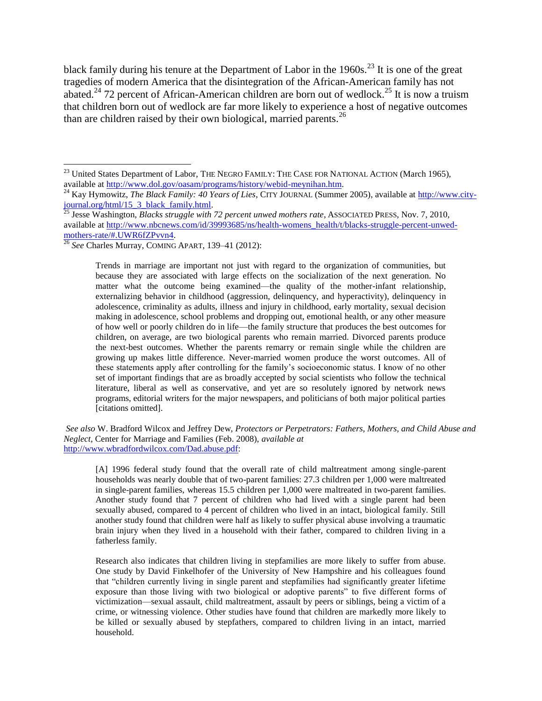black family during his tenure at the Department of Labor in the  $1960s$ <sup>23</sup>. It is one of the great tragedies of modern America that the disintegration of the African-American family has not abated.<sup>24</sup> 72 percent of African-American children are born out of wedlock.<sup>25</sup> It is now a truism that children born out of wedlock are far more likely to experience a host of negative outcomes than are children raised by their own biological, married parents.<sup>26</sup>

 $\overline{\phantom{a}}$ 

Trends in marriage are important not just with regard to the organization of communities, but because they are associated with large effects on the socialization of the next generation. No matter what the outcome being examined—the quality of the mother-infant relationship, externalizing behavior in childhood (aggression, delinquency, and hyperactivity), delinquency in adolescence, criminality as adults, illness and injury in childhood, early mortality, sexual decision making in adolescence, school problems and dropping out, emotional health, or any other measure of how well or poorly children do in life—the family structure that produces the best outcomes for children, on average, are two biological parents who remain married. Divorced parents produce the next-best outcomes. Whether the parents remarry or remain single while the children are growing up makes little difference. Never-married women produce the worst outcomes. All of these statements apply after controlling for the family's socioeconomic status. I know of no other set of important findings that are as broadly accepted by social scientists who follow the technical literature, liberal as well as conservative, and yet are so resolutely ignored by network news programs, editorial writers for the major newspapers, and politicians of both major political parties [citations omitted].

*See also* W. Bradford Wilcox and Jeffrey Dew, *Protectors or Perpetrators: Fathers, Mothers, and Child Abuse and Neglect*, Center for Marriage and Families (Feb. 2008), *available at* [http://www.wbradfordwilcox.com/Dad.abuse.pdf:](http://www.wbradfordwilcox.com/Dad.abuse.pdf)

[A] 1996 federal study found that the overall rate of child maltreatment among single-parent households was nearly double that of two-parent families: 27.3 children per 1,000 were maltreated in single-parent families, whereas 15.5 children per 1,000 were maltreated in two-parent families. Another study found that 7 percent of children who had lived with a single parent had been sexually abused, compared to 4 percent of children who lived in an intact, biological family. Still another study found that children were half as likely to suffer physical abuse involving a traumatic brain injury when they lived in a household with their father, compared to children living in a fatherless family.

Research also indicates that children living in stepfamilies are more likely to suffer from abuse. One study by David Finkelhofer of the University of New Hampshire and his colleagues found that "children currently living in single parent and stepfamilies had significantly greater lifetime exposure than those living with two biological or adoptive parents" to five different forms of victimization—sexual assault, child maltreatment, assault by peers or siblings, being a victim of a crime, or witnessing violence. Other studies have found that children are markedly more likely to be killed or sexually abused by stepfathers, compared to children living in an intact, married household.

 $^{23}$  United States Department of Labor, THE NEGRO FAMILY: THE CASE FOR NATIONAL ACTION (March 1965), available at [http://www.dol.gov/oasam/programs/history/webid-meynihan.htm.](http://www.dol.gov/oasam/programs/history/webid-meynihan.htm)

<sup>&</sup>lt;sup>24</sup> Kay Hymowitz, *The Black Family: 40 Years of Lies*, CITY JOURNAL (Summer 2005), available at [http://www.city](http://www.city-journal.org/html/15_3_black_family.html)[journal.org/html/15\\_3\\_black\\_family.html.](http://www.city-journal.org/html/15_3_black_family.html)

<sup>&</sup>lt;sup>25</sup> Jesse Washington, *Blacks struggle with 72 percent unwed mothers rate*, ASSOCIATED PRESS, Nov. 7, 2010, available at [http://www.nbcnews.com/id/39993685/ns/health-womens\\_health/t/blacks-struggle-percent-unwed](http://www.nbcnews.com/id/39993685/ns/health-womens_health/t/blacks-struggle-percent-unwed-mothers-rate/#.UWR6fZPvvn4)[mothers-rate/#.UWR6fZPvvn4.](http://www.nbcnews.com/id/39993685/ns/health-womens_health/t/blacks-struggle-percent-unwed-mothers-rate/#.UWR6fZPvvn4)

<sup>26</sup> *See* Charles Murray, COMING APART, 139–41 (2012):